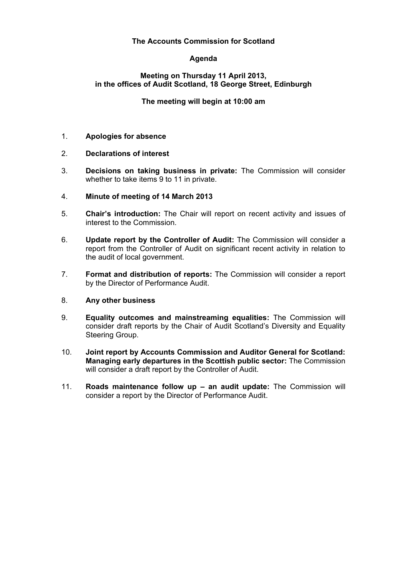# **The Accounts Commission for Scotland**

# **Agenda**

# **Meeting on Thursday 11 April 2013, in the offices of Audit Scotland, 18 George Street, Edinburgh**

# **The meeting will begin at 10:00 am**

# 1. **Apologies for absence**

# 2. **Declarations of interest**

3. **Decisions on taking business in private:** The Commission will consider whether to take items 9 to 11 in private.

# 4. **Minute of meeting of 14 March 2013**

- 5. **Chair's introduction:** The Chair will report on recent activity and issues of interest to the Commission.
- 6. **Update report by the Controller of Audit:** The Commission will consider a report from the Controller of Audit on significant recent activity in relation to the audit of local government.
- 7. **Format and distribution of reports:** The Commission will consider a report by the Director of Performance Audit.

#### 8. **Any other business**

- 9. **Equality outcomes and mainstreaming equalities:** The Commission will consider draft reports by the Chair of Audit Scotland's Diversity and Equality Steering Group.
- 10. **Joint report by Accounts Commission and Auditor General for Scotland: Managing early departures in the Scottish public sector:** The Commission will consider a draft report by the Controller of Audit.
- 11. **Roads maintenance follow up an audit update:** The Commission will consider a report by the Director of Performance Audit.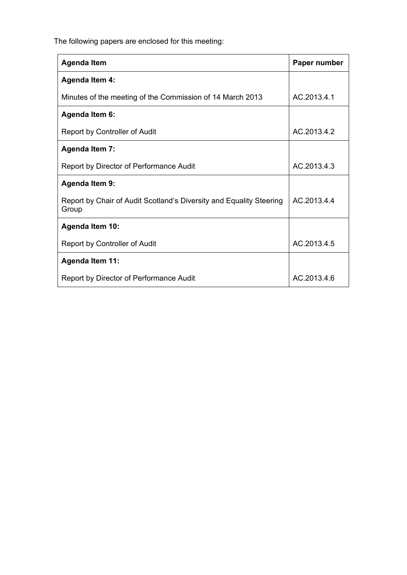The following papers are enclosed for this meeting:

| <b>Agenda Item</b>                                                           | Paper number |
|------------------------------------------------------------------------------|--------------|
| <b>Agenda Item 4:</b>                                                        |              |
| Minutes of the meeting of the Commission of 14 March 2013                    | AC.2013.4.1  |
| <b>Agenda Item 6:</b>                                                        |              |
| Report by Controller of Audit                                                | AC.2013.4.2  |
| <b>Agenda Item 7:</b>                                                        |              |
| Report by Director of Performance Audit                                      | AC.2013.4.3  |
| <b>Agenda Item 9:</b>                                                        |              |
| Report by Chair of Audit Scotland's Diversity and Equality Steering<br>Group | AC.2013.4.4  |
| <b>Agenda Item 10:</b>                                                       |              |
| Report by Controller of Audit                                                | AC.2013.4.5  |
| <b>Agenda Item 11:</b>                                                       |              |
| Report by Director of Performance Audit                                      | AC.2013.4.6  |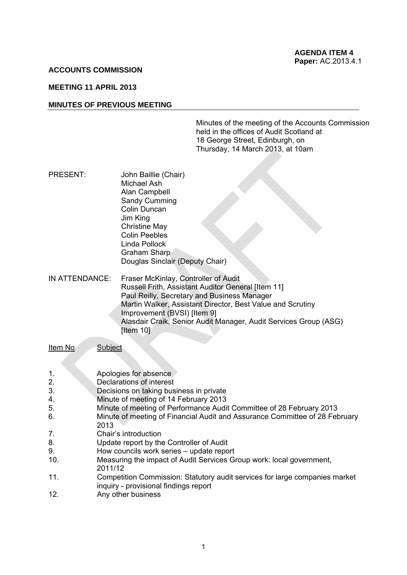#### **ACCOUNTS COMMISSION**

# **MEETING 11 APRIL 2013**

#### **MINUTES OF PREVIOUS MEETING**

Minutes of the meeting of the Accounts Commission held in the offices of Audit Scotland at 18 George Street, Edinburgh, on Thursday, 14 March 2013, at 10am

PRESENT: John Baillie (Chair) Michael Ash Alan Campbell Sandy Cumming Colin Duncan Jim King Christine May Colin Peebles Linda Pollock Graham Sharp Douglas Sinclair (Deputy Chair)

IN ATTENDANCE: Fraser McKinlay, Controller of Audit Russell Frith, Assistant Auditor General [Item 11] Paul Reilly, Secretary and Business Manager Martin Walker, Assistant Director, Best Value and Scrutiny Improvement (BVSI) [Item 9] Alasdair Craik, Senior Audit Manager, Audit Services Group (ASG) [Item 10]

Item No Subject

- 1. Apologies for absence
- 2. Declarations of interest
- 3. Decisions on taking business in private
- 4. Minute of meeting of 14 February 2013
- 5. Minute of meeting of Performance Audit Committee of 28 February 2013
- 6. Minute of meeting of Financial Audit and Assurance Committee of 28 February 2013
- 7. Chair's introduction
- 8. Update report by the Controller of Audit
- 9. How councils work series update report
- 10. Measuring the impact of Audit Services Group work: local government, 2011/12
- 11. Competition Commission: Statutory audit services for large companies market inquiry - provisional findings report
- 12. Any other business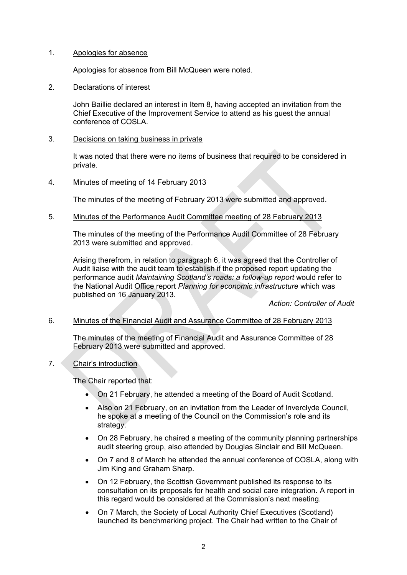# 1. Apologies for absence

Apologies for absence from Bill McQueen were noted.

2. Declarations of interest

 John Baillie declared an interest in Item 8, having accepted an invitation from the Chief Executive of the Improvement Service to attend as his guest the annual conference of COSLA.

3. Decisions on taking business in private

It was noted that there were no items of business that required to be considered in private.

4. Minutes of meeting of 14 February 2013

The minutes of the meeting of February 2013 were submitted and approved.

5. Minutes of the Performance Audit Committee meeting of 28 February 2013

The minutes of the meeting of the Performance Audit Committee of 28 February 2013 were submitted and approved.

Arising therefrom, in relation to paragraph 6, it was agreed that the Controller of Audit liaise with the audit team to establish if the proposed report updating the performance audit *Maintaining Scotland's roads: a follow-up report* would refer to the National Audit Office report *Planning for economic infrastructure* which was published on 16 January 2013.

*Action: Controller of Audit* 

# 6. Minutes of the Financial Audit and Assurance Committee of 28 February 2013

The minutes of the meeting of Financial Audit and Assurance Committee of 28 February 2013 were submitted and approved.

7. Chair's introduction

The Chair reported that:

- On 21 February, he attended a meeting of the Board of Audit Scotland.
- Also on 21 February, on an invitation from the Leader of Inverclyde Council, he spoke at a meeting of the Council on the Commission's role and its strategy.
- On 28 February, he chaired a meeting of the community planning partnerships audit steering group, also attended by Douglas Sinclair and Bill McQueen.
- On 7 and 8 of March he attended the annual conference of COSLA, along with Jim King and Graham Sharp.
- On 12 February, the Scottish Government published its response to its consultation on its proposals for health and social care integration. A report in this regard would be considered at the Commission's next meeting.
- On 7 March, the Society of Local Authority Chief Executives (Scotland) launched its benchmarking project. The Chair had written to the Chair of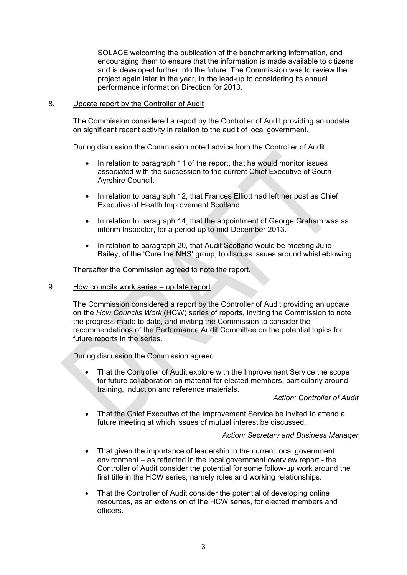SOLACE welcoming the publication of the benchmarking information, and encouraging them to ensure that the information is made available to citizens and is developed further into the future. The Commission was to review the project again later in the year, in the lead-up to considering its annual performance information Direction for 2013.

# 8. Update report by the Controller of Audit

The Commission considered a report by the Controller of Audit providing an update on significant recent activity in relation to the audit of local government.

During discussion the Commission noted advice from the Controller of Audit:

- In relation to paragraph 11 of the report, that he would monitor issues associated with the succession to the current Chief Executive of South Ayrshire Council.
- In relation to paragraph 12, that Frances Elliott had left her post as Chief Executive of Health Improvement Scotland.
- In relation to paragraph 14, that the appointment of George Graham was as interim Inspector, for a period up to mid-December 2013.
- In relation to paragraph 20, that Audit Scotland would be meeting Julie Bailey, of the 'Cure the NHS' group, to discuss issues around whistleblowing.

Thereafter the Commission agreed to note the report.

# 9. How councils work series – update report

The Commission considered a report by the Controller of Audit providing an update on the *How Councils Work* (HCW) series of reports, inviting the Commission to note the progress made to date, and inviting the Commission to consider the recommendations of the Performance Audit Committee on the potential topics for future reports in the series.

During discussion the Commission agreed:

 That the Controller of Audit explore with the Improvement Service the scope for future collaboration on material for elected members, particularly around training, induction and reference materials.

*Action: Controller of Audit* 

 That the Chief Executive of the Improvement Service be invited to attend a future meeting at which issues of mutual interest be discussed.

*Action: Secretary and Business Manager* 

- That given the importance of leadership in the current local government environment – as reflected in the local government overview report - the Controller of Audit consider the potential for some follow-up work around the first title in the HCW series, namely roles and working relationships.
- That the Controller of Audit consider the potential of developing online resources, as an extension of the HCW series, for elected members and officers.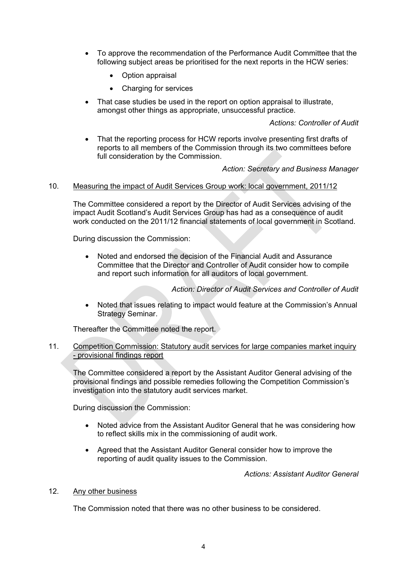- To approve the recommendation of the Performance Audit Committee that the following subject areas be prioritised for the next reports in the HCW series:
	- Option appraisal
	- Charging for services
- That case studies be used in the report on option appraisal to illustrate, amongst other things as appropriate, unsuccessful practice.

# *Actions: Controller of Audit*

 That the reporting process for HCW reports involve presenting first drafts of reports to all members of the Commission through its two committees before full consideration by the Commission.

*Action: Secretary and Business Manager* 

# 10. Measuring the impact of Audit Services Group work: local government, 2011/12

The Committee considered a report by the Director of Audit Services advising of the impact Audit Scotland's Audit Services Group has had as a consequence of audit work conducted on the 2011/12 financial statements of local government in Scotland.

During discussion the Commission:

 Noted and endorsed the decision of the Financial Audit and Assurance Committee that the Director and Controller of Audit consider how to compile and report such information for all auditors of local government.

*Action: Director of Audit Services and Controller of Audit* 

 Noted that issues relating to impact would feature at the Commission's Annual Strategy Seminar.

Thereafter the Committee noted the report.

# 11. Competition Commission: Statutory audit services for large companies market inquiry - provisional findings report

The Committee considered a report by the Assistant Auditor General advising of the provisional findings and possible remedies following the Competition Commission's investigation into the statutory audit services market.

During discussion the Commission:

- Noted advice from the Assistant Auditor General that he was considering how to reflect skills mix in the commissioning of audit work.
- Agreed that the Assistant Auditor General consider how to improve the reporting of audit quality issues to the Commission.

*Actions: Assistant Auditor General*

#### 12. Any other business

The Commission noted that there was no other business to be considered.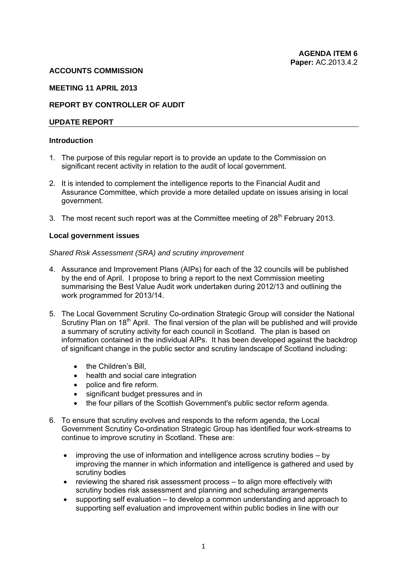### **ACCOUNTS COMMISSION**

# **MEETING 11 APRIL 2013**

# **REPORT BY CONTROLLER OF AUDIT**

### **UPDATE REPORT**

### **Introduction**

- 1. The purpose of this regular report is to provide an update to the Commission on significant recent activity in relation to the audit of local government.
- 2. It is intended to complement the intelligence reports to the Financial Audit and Assurance Committee, which provide a more detailed update on issues arising in local government.
- 3. The most recent such report was at the Committee meeting of  $28<sup>th</sup>$  February 2013.

#### **Local government issues**

#### *Shared Risk Assessment (SRA) and scrutiny improvement*

- 4. Assurance and Improvement Plans (AIPs) for each of the 32 councils will be published by the end of April. I propose to bring a report to the next Commission meeting summarising the Best Value Audit work undertaken during 2012/13 and outlining the work programmed for 2013/14.
- 5. The Local Government Scrutiny Co-ordination Strategic Group will consider the National Scrutiny Plan on  $18<sup>th</sup>$  April. The final version of the plan will be published and will provide a summary of scrutiny activity for each council in Scotland. The plan is based on information contained in the individua[l AIPs.](http://www.audit-scotland.gov.uk/work/scrutiny/aip.php#AIP) It has been developed against the backdrop of significant change in the public sector and scrutiny landscape of Scotland including:
	- the Children's Bill,
	- health and social care integration
	- police and fire reform.
	- significant budget pressures and in
	- the four pillars of the Scottish Government's public sector reform agenda.
- 6. To ensure that scrutiny evolves and responds to the reform agenda, the Local Government Scrutiny Co-ordination Strategic Group has identified four work-streams to continue to improve scrutiny in Scotland. These are:
	- improving the use of information and intelligence across scrutiny bodies by improving the manner in which information and intelligence is gathered and used by scrutiny bodies
	- reviewing the shared risk assessment process to align more effectively with scrutiny bodies risk assessment and planning and scheduling arrangements
	- supporting self evaluation to develop a common understanding and approach to supporting self evaluation and improvement within public bodies in line with our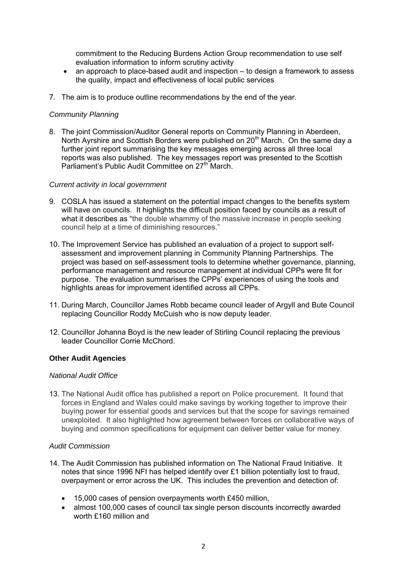commitment to the Reducing Burdens Action Group recommendation to use self evaluation information to inform scrutiny activity

- an approach to place-based audit and inspection to design a framework to assess the quality, impact and effectiveness of local public services
- 7. The aim is to produce outline recommendations by the end of the year.

# *Community Planning*

8. The joint Commission/Auditor General reports on Community Planning in Aberdeen, North Ayrshire and Scottish Borders were published on 20<sup>th</sup> March. On the same day a further joint report summarising the key messages emerging across all three local reports was also published. The key messages report was presented to the Scottish Parliament's Public Audit Committee on 27<sup>th</sup> March.

# *Current activity in local government*

- 9. COSLA has issued a statement on the potential impact changes to the benefits system will have on councils. It highlights the difficult position faced by councils as a result of what it describes as "the double whammy of the massive increase in people seeking council help at a time of diminishing resources."
- 10. The Improvement Service has published an evaluation of a project to support selfassessment and improvement planning in Community Planning Partnerships. The project was based on self-assessment tools to determine whether governance, planning, performance management and resource management at individual CPPs were fit for purpose. The evaluation summarises the CPPs' experiences of using the tools and highlights areas for improvement identified across all CPPs.
- 11. During March, Councillor James Robb became council leader of Argyll and Bute Council replacing Councillor Roddy McCuish who is now deputy leader.
- 12. Councillor Johanna Boyd is the new leader of Stirling Council replacing the previous leader Councillor Corrie McChord.

#### **Other Audit Agencies**

#### *National Audit Office*

13. The National Audit office has published a report on Police procurement. It found that forces in England and Wales could make savings by working together to improve their buying power for essential goods and services but that the scope for savings remained unexploited. It also highlighted how agreement between forces on collaborative ways of buying and common specifications for equipment can deliver better value for money.

#### *Audit Commission*

- 14. The Audit Commission has published information on The National Fraud Initiative. It notes that since 1996 NFI has helped identify over £1 billion potentially lost to fraud, overpayment or error across the UK. This includes the prevention and detection of:
	- 15,000 cases of pension overpayments worth £450 million,
	- almost 100,000 cases of council tax single person discounts incorrectly awarded worth £160 million and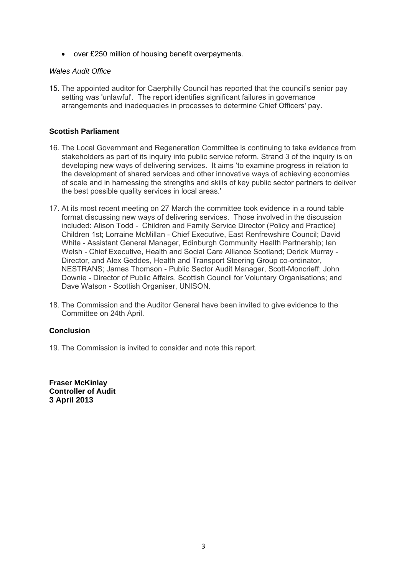over £250 million of housing benefit overpayments.

# *Wales Audit Office*

15. The appointed auditor for Caerphilly Council has reported that the council's senior pay setting was 'unlawful'. The report identifies significant failures in governance arrangements and inadequacies in processes to determine Chief Officers' pay.

# **Scottish Parliament**

- 16. The Local Government and Regeneration Committee is continuing to take evidence from stakeholders as part of its inquiry into public service reform. Strand 3 of the inquiry is on developing new ways of delivering services. It aims 'to examine progress in relation to the development of shared services and other innovative ways of achieving economies of scale and in harnessing the strengths and skills of key public sector partners to deliver the best possible quality services in local areas.'
- 17. At its most recent meeting on 27 March the committee took evidence in a round table format discussing new ways of delivering services. Those involved in the discussion included: Alison Todd - Children and Family Service Director (Policy and Practice) Children 1st; Lorraine McMillan - Chief Executive, East Renfrewshire Council; David White - Assistant General Manager, Edinburgh Community Health Partnership; Ian Welsh - Chief Executive, Health and Social Care Alliance Scotland; Derick Murray - Director, and Alex Geddes, Health and Transport Steering Group co-ordinator, NESTRANS; James Thomson - Public Sector Audit Manager, Scott-Moncrieff; John Downie - Director of Public Affairs, Scottish Council for Voluntary Organisations; and Dave Watson - Scottish Organiser, UNISON.
- 18. The Commission and the Auditor General have been invited to give evidence to the Committee on 24th April.

# **Conclusion**

19. The Commission is invited to consider and note this report.

**Fraser McKinlay Controller of Audit 3 April 2013**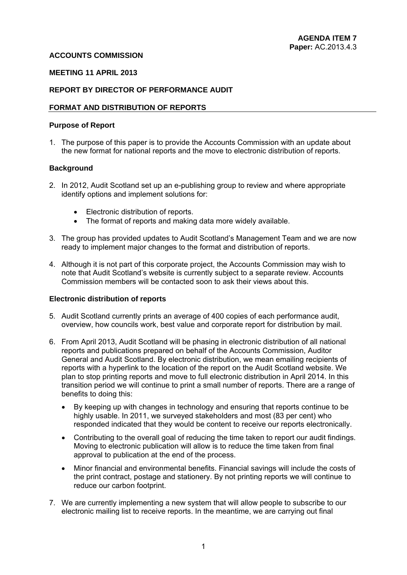# **ACCOUNTS COMMISSION**

# **MEETING 11 APRIL 2013**

# **REPORT BY DIRECTOR OF PERFORMANCE AUDIT**

### **FORMAT AND DISTRIBUTION OF REPORTS**

#### **Purpose of Report**

1. The purpose of this paper is to provide the Accounts Commission with an update about the new format for national reports and the move to electronic distribution of reports.

# **Background**

- 2. In 2012, Audit Scotland set up an e-publishing group to review and where appropriate identify options and implement solutions for:
	- Electronic distribution of reports.
	- The format of reports and making data more widely available.
- 3. The group has provided updates to Audit Scotland's Management Team and we are now ready to implement major changes to the format and distribution of reports.
- 4. Although it is not part of this corporate project, the Accounts Commission may wish to note that Audit Scotland's website is currently subject to a separate review. Accounts Commission members will be contacted soon to ask their views about this.

#### **Electronic distribution of reports**

- 5. Audit Scotland currently prints an average of 400 copies of each performance audit, overview, how councils work, best value and corporate report for distribution by mail.
- 6. From April 2013, Audit Scotland will be phasing in electronic distribution of all national reports and publications prepared on behalf of the Accounts Commission, Auditor General and Audit Scotland. By electronic distribution, we mean emailing recipients of reports with a hyperlink to the location of the report on the Audit Scotland website. We plan to stop printing reports and move to full electronic distribution in April 2014. In this transition period we will continue to print a small number of reports. There are a range of benefits to doing this:
	- By keeping up with changes in technology and ensuring that reports continue to be highly usable. In 2011, we surveyed stakeholders and most (83 per cent) who responded indicated that they would be content to receive our reports electronically.
	- Contributing to the overall goal of reducing the time taken to report our audit findings. Moving to electronic publication will allow is to reduce the time taken from final approval to publication at the end of the process.
	- Minor financial and environmental benefits. Financial savings will include the costs of the print contract, postage and stationery. By not printing reports we will continue to reduce our carbon footprint.
- 7. We are currently implementing a new system that will allow people to subscribe to our electronic mailing list to receive reports. In the meantime, we are carrying out final